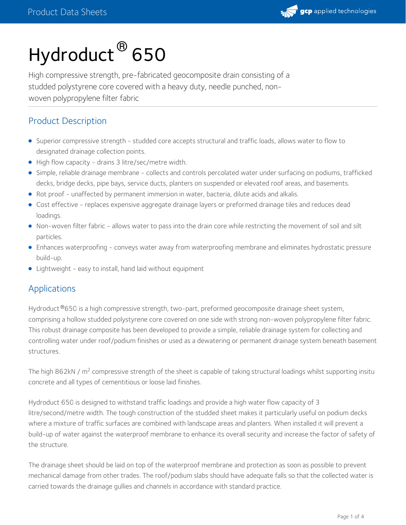

# Hydroduct ® 650

High compressive strength, pre-fabricated geocomposite drain consisting of a studded polystyrene core covered with a heavy duty, needle punched, non woven polypropylene filter fabric

# Product Description

- Superior compressive strength studded core accepts structural and traffic loads, allows water to flow to designated drainage collection points.
- High flow capacity drains 3 litre/sec/metre width.
- Simple, reliable drainage membrane collects and controls percolated water under surfacing on podiums, trafficked decks, bridge decks, pipe bays, service ducts, planters on suspended or elevated roof areas, and basements.
- Rot proof unaffected by permanent immersion in water, bacteria, dilute acids and alkalis.
- Cost effective replaces expensive aggregate drainage layers or preformed drainage tiles and reduces dead loadings.
- Non-woven filter fabric allows water to pass into the drain core while restricting the movement of soil and silt particles.
- Enhances waterproofing conveys water away from waterproofing membrane and eliminates hydrostatic pressure build-up.
- Lightweight easy to install, hand laid without equipment

## Applications

Hydroduct ®650 is a high compressive strength, two-part, preformed geocomposite drainage sheet system, comprising a hollow studded polystyrene core covered on one side with strong non-woven polypropylene filter fabric. This robust drainage composite has been developed to provide a simple, reliable drainage system for collecting and controlling water under roof/podium finishes or used as a dewatering or permanent drainage system beneath basement structures.

The high 862kN / m<sup>2</sup> compressive strength of the sheet is capable of taking structural loadings whilst supporting insitu concrete and all types of cementitious or loose laid finishes.

Hydroduct 650 is designed to withstand traffic loadings and provide a high water flow capacity of 3 litre/second/metre width. The tough construction of the studded sheet makes it particularly useful on podium decks where a mixture of traffic surfaces are combined with landscape areas and planters. When installed it will prevent a build-up of water against the waterproof membrane to enhance its overall security and increase the factor of safety of the structure.

The drainage sheet should be laid on top of the waterproof membrane and protection as soon as possible to prevent mechanical damage from other trades. The roof/podium slabs should have adequate falls so that the collected water is carried towards the drainage gullies and channels in accordance with standard practice.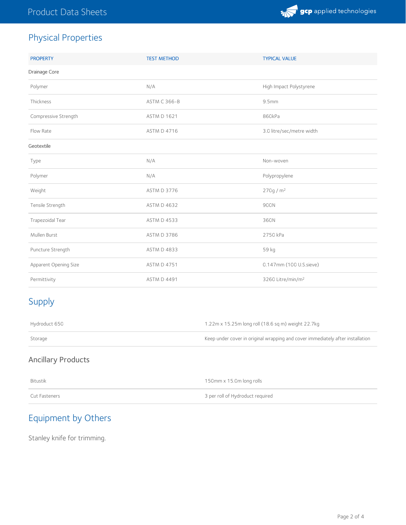

# Physical Properties

| <b>PROPERTY</b>       | <b>TEST METHOD</b>  | <b>TYPICAL VALUE</b>          |  |
|-----------------------|---------------------|-------------------------------|--|
| Drainage Core         |                     |                               |  |
| Polymer               | N/A                 | High Impact Polystyrene       |  |
| Thickness             | <b>ASTM C 366-B</b> | 9.5mm                         |  |
| Compressive Strength  | <b>ASTM D 1621</b>  | 860kPa                        |  |
| Flow Rate             | <b>ASTM D 4716</b>  | 3.0 litre/sec/metre width     |  |
| Geotextile            |                     |                               |  |
| Type                  | N/A                 | Non-woven                     |  |
| Polymer               | N/A                 | Polypropylene                 |  |
| Weight                | ASTM D 3776         | 270g/m <sup>2</sup>           |  |
| Tensile Strength      | <b>ASTM D 4632</b>  | 900N                          |  |
| Trapezoidal Tear      | <b>ASTM D 4533</b>  | 360N                          |  |
| Mullen Burst          | <b>ASTM D 3786</b>  | 2750 kPa                      |  |
| Puncture Strength     | <b>ASTM D 4833</b>  | 59 kg                         |  |
| Apparent Opening Size | <b>ASTM D 4751</b>  | 0.147mm (100 U.S.sieve)       |  |
| Permittivity          | <b>ASTM D 4491</b>  | 3260 Litre/min/m <sup>2</sup> |  |

# Supply

| Hydroduct 650 | 1.22m x 15.25m long roll (18.6 sq m) weight 22.7kg                             |
|---------------|--------------------------------------------------------------------------------|
| Storage       | Keep under cover in original wrapping and cover immediately after installation |

# Ancillary Products

| Bitustik      | 150mm x 15.0m long rolls         |
|---------------|----------------------------------|
| Cut Fasteners | 3 per roll of Hydroduct required |

# Equipment by Others

Stanley knife for trimming.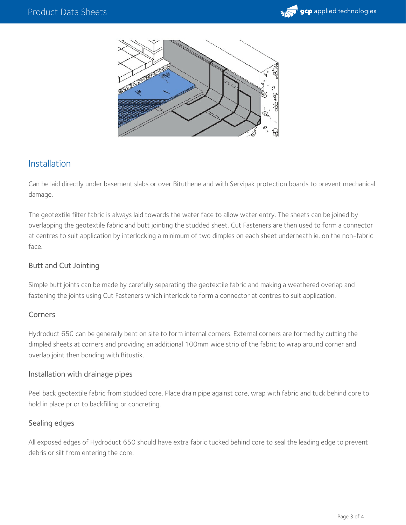



## Installation

Can be laid directly under basement slabs or over Bituthene and with Servipak protection boards to prevent mechanical damage.

The geotextile filter fabric is always laid towards the water face to allow water entry. The sheets can be joined by overlapping the geotextile fabric and butt jointing the studded sheet. Cut Fasteners are then used to form a connector at centres to suit application by interlocking a minimum of two dimples on each sheet underneath ie. on the non-fabric face.

#### Butt and Cut Jointing

Simple butt joints can be made by carefully separating the geotextile fabric and making a weathered overlap and fastening the joints using Cut Fasteners which interlock to form a connector at centres to suit application.

#### Corners

Hydroduct 650 can be generally bent on site to form internal corners. External corners are formed by cutting the dimpled sheets at corners and providing an additional 100mm wide strip of the fabric to wrap around corner and overlap joint then bonding with Bitustik.

#### Installation with drainage pipes

Peel back geotextile fabric from studded core. Place drain pipe against core, wrap with fabric and tuck behind core to hold in place prior to backfilling or concreting.

#### Sealing edges

All exposed edges of Hydroduct 650 should have extra fabric tucked behind core to seal the leading edge to prevent debris or silt from entering the core.